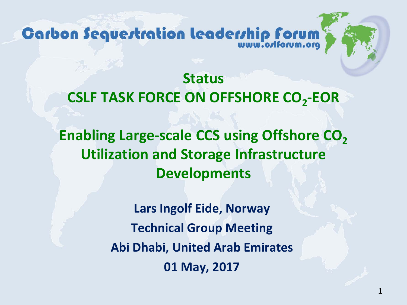Carbon Sequestration leadership forum

**Status CSLF TASK FORCE ON OFFSHORE CO2-EOR Enabling Large-scale CCS using Offshore CO<sub>2</sub> Utilization and Storage Infrastructure Developments**

> **Lars Ingolf Eide, Norway Technical Group Meeting Abi Dhabi, United Arab Emirates 01 May, 2017**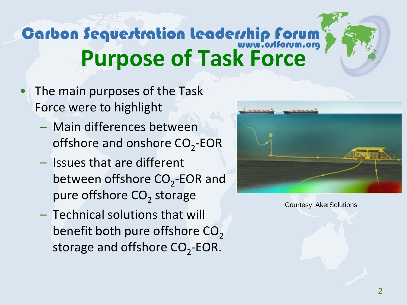## Carbon Sequertration leaderrhip Forum **Purpose of Task Force**

- The main purposes of the Task Force were to highlight
	- Main differences between offshore and onshore  $CO<sub>2</sub>$ -EOR
	- Issues that are different between offshore  $CO<sub>2</sub>$ -EOR and pure offshore  $CO<sub>2</sub>$  storage
	- Technical solutions that will benefit both pure offshore CO<sub>2</sub> storage and offshore  $CO<sub>2</sub>$ -EOR.



Courtesy: AkerSolutions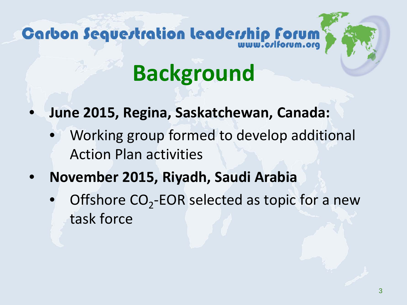# Carbon Sequestration leadership forum

# **Background**

- **June 2015, Regina, Saskatchewan, Canada:**
	- Working group formed to develop additional Action Plan activities
- **November 2015, Riyadh, Saudi Arabia**
	- Offshore  $CO<sub>2</sub>$ -EOR selected as topic for a new task force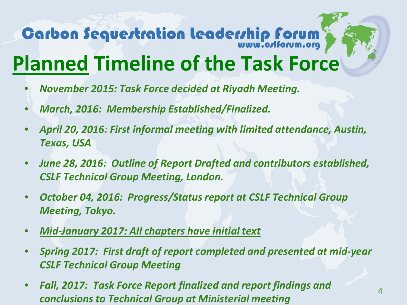# Carbon Sequertration leaderrhip Forum

## **Planned Timeline of the Task Force**

- *November 2015: Task Force decided at Riyadh Meeting.*
- *March, 2016: Membership Established/Finalized.*
- *April 20, 2016: First informal meeting with limited attendance, Austin, Texas, USA*
- *June 28, 2016: Outline of Report Drafted and contributors established, CSLF Technical Group Meeting, London.*
- *October 04, 2016: Progress/Status report at CSLF Technical Group Meeting, Tokyo.*
- *Mid-January 2017: All chapters have initial text*
- *Spring 2017: First draft of report completed and presented at mid-year CSLF Technical Group Meeting*
- *Fall, 2017: Task Force Report finalized and report findings and conclusions to Technical Group at Ministerial meeting*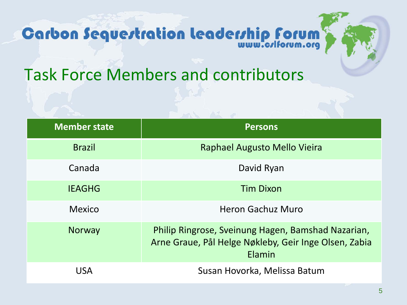



Task Force Members and contributors

| <b>Member state</b> | <b>Persons</b>                                                                                                        |
|---------------------|-----------------------------------------------------------------------------------------------------------------------|
| <b>Brazil</b>       | Raphael Augusto Mello Vieira                                                                                          |
| Canada              | David Ryan                                                                                                            |
| <b>IEAGHG</b>       | <b>Tim Dixon</b>                                                                                                      |
| <b>Mexico</b>       | Heron Gachuz Muro                                                                                                     |
| <b>Norway</b>       | Philip Ringrose, Sveinung Hagen, Bamshad Nazarian,<br>Arne Graue, Pål Helge Nøkleby, Geir Inge Olsen, Zabia<br>Elamin |
| <b>USA</b>          | Susan Hovorka, Melissa Batum                                                                                          |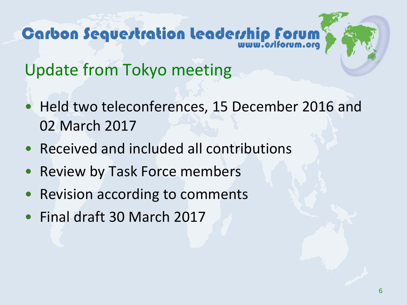Update from Tokyo meeting

- Held two teleconferences, 15 December 2016 and 02 March 2017
- Received and included all contributions
- Review by Task Force members
- Revision according to comments
- Final draft 30 March 2017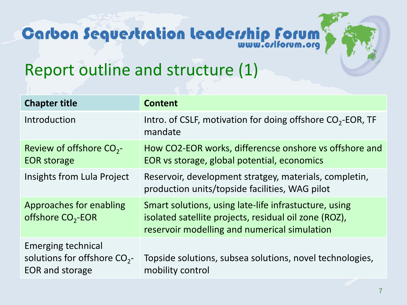# **Carbon Sequertration leaderrhip Forum**



| <b>Chapter title</b>                                                              | <b>Content</b>                                                                                                                                                 |
|-----------------------------------------------------------------------------------|----------------------------------------------------------------------------------------------------------------------------------------------------------------|
| Introduction                                                                      | Intro. of CSLF, motivation for doing offshore $CO2$ -EOR, TF<br>mandate                                                                                        |
| Review of offshore $CO_{2}$ -<br><b>EOR</b> storage                               | How CO2-EOR works, differencse onshore vs offshore and<br>EOR vs storage, global potential, economics                                                          |
| Insights from Lula Project                                                        | Reservoir, development stratgey, materials, completin,<br>production units/topside facilities, WAG pilot                                                       |
| Approaches for enabling<br>offshore CO <sub>2</sub> -EOR                          | Smart solutions, using late-life infrastucture, using<br>isolated satellite projects, residual oil zone (ROZ),<br>reservoir modelling and numerical simulation |
| <b>Emerging technical</b><br>solutions for offshore $CO_{2}$ -<br>EOR and storage | Topside solutions, subsea solutions, novel technologies,<br>mobility control                                                                                   |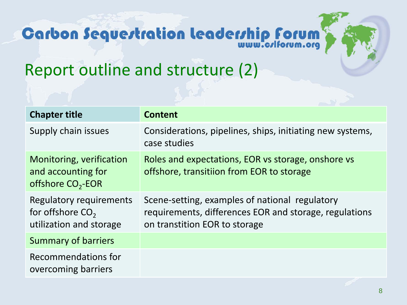# **Carbon Sequertration leaderrhip Forum**



#### Report outline and structure (2)

| <b>Chapter title</b>                                                     | <b>Content</b>                                                                                                                            |
|--------------------------------------------------------------------------|-------------------------------------------------------------------------------------------------------------------------------------------|
| Supply chain issues                                                      | Considerations, pipelines, ships, initiating new systems,<br>case studies                                                                 |
| Monitoring, verification<br>and accounting for<br>offshore $CO2$ -EOR    | Roles and expectations, EOR vs storage, onshore vs<br>offshore, transitiion from EOR to storage                                           |
| Regulatory requirements<br>for offshore $CO2$<br>utilization and storage | Scene-setting, examples of national regulatory<br>requirements, differences EOR and storage, regulations<br>on transtition EOR to storage |
| <b>Summary of barriers</b>                                               |                                                                                                                                           |
| Recommendations for<br>overcoming barriers                               |                                                                                                                                           |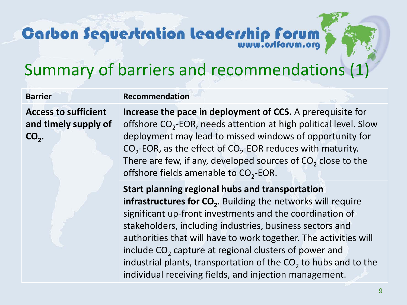## **Carbon Sequertration leadership forum**

### Summary of barriers and recommendations (1)

**Barrier Recommendation** 

**Access to sufficient and timely supply of**  CO<sub>2</sub>.

**Increase the pace in deployment of CCS.** A prerequisite for offshore  $CO<sub>2</sub>$ -EOR, needs attention at high political level. Slow deployment may lead to missed windows of opportunity for  $CO<sub>2</sub>$ -EOR, as the effect of  $CO<sub>2</sub>$ -EOR reduces with maturity. There are few, if any, developed sources of  $CO<sub>2</sub>$  close to the offshore fields amenable to  $CO<sub>2</sub>$ -EOR.

**Start planning regional hubs and transportation infrastructures for CO<sub>2</sub>.** Building the networks will require significant up-front investments and the coordination of stakeholders, including industries, business sectors and authorities that will have to work together. The activities will include  $CO<sub>2</sub>$  capture at regional clusters of power and industrial plants, transportation of the  $CO<sub>2</sub>$  to hubs and to the individual receiving fields, and injection management.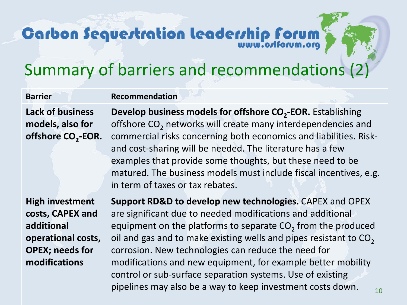# **Carbon Sequertration Leadership Forum**

### Summary of barriers and recommendations (2)

| <b>Barrier</b>                                                                                                            | <b>Recommendation</b>                                                                                                                                                                                                                                                                                                                                                                                                                                                                                                              |
|---------------------------------------------------------------------------------------------------------------------------|------------------------------------------------------------------------------------------------------------------------------------------------------------------------------------------------------------------------------------------------------------------------------------------------------------------------------------------------------------------------------------------------------------------------------------------------------------------------------------------------------------------------------------|
| <b>Lack of business</b><br>models, also for<br>offshore CO <sub>2</sub> -EOR.                                             | Develop business models for offshore CO <sub>2</sub> -EOR. Establishing<br>offshore CO <sub>2</sub> networks will create many interdependencies and<br>commercial risks concerning both economics and liabilities. Risk-<br>and cost-sharing will be needed. The literature has a few<br>examples that provide some thoughts, but these need to be<br>matured. The business models must include fiscal incentives, e.g.<br>in term of taxes or tax rebates.                                                                        |
| <b>High investment</b><br>costs, CAPEX and<br>additional<br>operational costs,<br><b>OPEX; needs for</b><br>modifications | Support RD&D to develop new technologies. CAPEX and OPEX<br>are significant due to needed modifications and additional<br>equipment on the platforms to separate $CO2$ from the produced<br>oil and gas and to make existing wells and pipes resistant to CO <sub>2</sub><br>corrosion. New technologies can reduce the need for<br>modifications and new equipment, for example better mobility<br>control or sub-surface separation systems. Use of existing<br>pipelines may also be a way to keep investment costs down.<br>10 |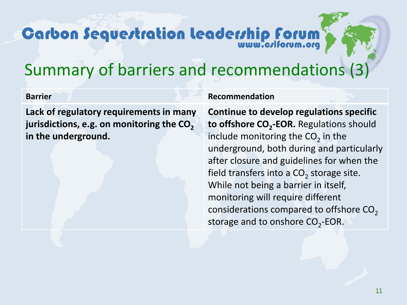## **Carbon Sequertration leadership forum**

### Summary of barriers and recommendations (3)

**Lack of regulatory requirements in many**  jurisdictions, e.g. on monitoring the CO<sub>2</sub> **in the underground.** 

#### **Barrier Recommendation**

**Continue to develop regulations specific to offshore CO<sub>2</sub>-EOR.** Regulations should include monitoring the  $CO<sub>2</sub>$  in the underground, both during and particularly after closure and guidelines for when the field transfers into a  $CO<sub>2</sub>$  storage site. While not being a barrier in itself, monitoring will require different considerations compared to offshore  $CO<sub>2</sub>$ storage and to onshore  $CO<sub>2</sub>$ -EOR.